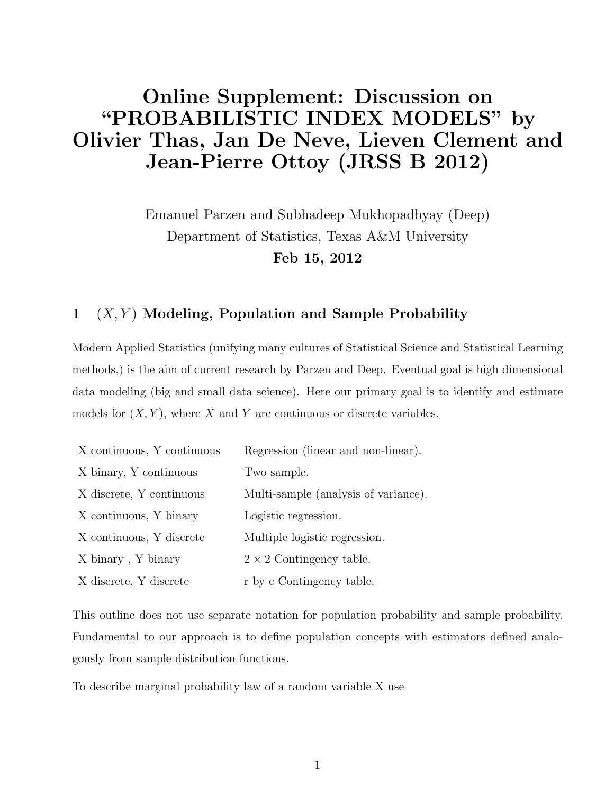# Online Supplement: Discussion on "PROBABILISTIC INDEX MODELS" by Olivier Thas, Jan De Neve, Lieven Clement and Jean-Pierre Ottoy (JRSS B 2012)

Emanuel Parzen and Subhadeep Mukhopadhyay (Deep) Department of Statistics, Texas A&M University Feb 15, 2012

### $1 \quad (X, Y)$  Modeling, Population and Sample Probability

Modern Applied Statistics (unifying many cultures of Statistical Science and Statistical Learning methods,) is the aim of current research by Parzen and Deep. Eventual goal is high dimensional data modeling (big and small data science). Here our primary goal is to identify and estimate models for  $(X, Y)$ , where X and Y are continuous or discrete variables.

| X continuous, Y continuous | Regression (linear and non-linear).  |
|----------------------------|--------------------------------------|
| X binary, Y continuous     | Two sample.                          |
| X discrete, Y continuous   | Multi-sample (analysis of variance). |
| X continuous, Y binary     | Logistic regression.                 |
| X continuous, Y discrete   | Multiple logistic regression.        |
| X binary, Y binary         | $2 \times 2$ Contingency table.      |
| X discrete, Y discrete     | r by c Contingency table.            |

This outline does not use separate notation for population probability and sample probability. Fundamental to our approach is to define population concepts with estimators defined analogously from sample distribution functions.

To describe marginal probability law of a random variable X use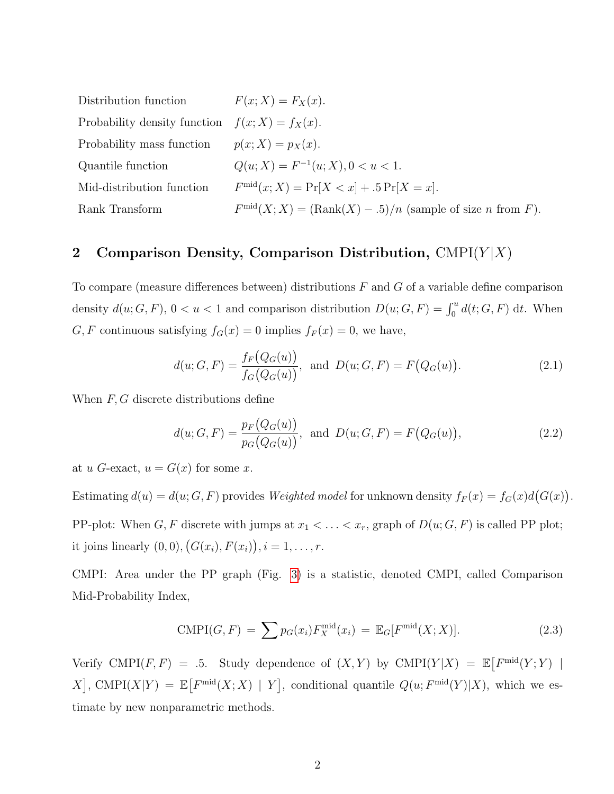| Distribution function                             | $F(x; X) = F_X(x)$ .                                                                       |
|---------------------------------------------------|--------------------------------------------------------------------------------------------|
| Probability density function $f(x; X) = f_X(x)$ . |                                                                                            |
| Probability mass function                         | $p(x; X) = p_X(x)$ .                                                                       |
| Quantile function                                 | $Q(u; X) = F^{-1}(u; X), 0 < u < 1.$                                                       |
| Mid-distribution function                         | $F^{\text{mid}}(x; X) = \Pr[X < x] + .5 \Pr[X = x].$                                       |
| Rank Transform                                    | $F^{\text{mid}}(X; X) = (\text{Rank}(X) - .5)/n$ (sample of size <i>n</i> from <i>F</i> ). |

#### 2 Comparison Density, Comparison Distribution,  $CMPI(Y|X)$

To compare (measure differences between) distributions  $F$  and  $G$  of a variable define comparison density  $d(u; G, F)$ ,  $0 < u < 1$  and comparison distribution  $D(u; G, F) = \int_0^u d(t; G, F) dt$ . When G, F continuous satisfying  $f_G(x) = 0$  implies  $f_F(x) = 0$ , we have,

$$
d(u; G, F) = \frac{f_F(Q_G(u))}{f_G(Q_G(u))}, \text{ and } D(u; G, F) = F(Q_G(u)).
$$
\n(2.1)

When  $F, G$  discrete distributions define

$$
d(u; G, F) = \frac{p_F(Q_G(u))}{p_G(Q_G(u))}, \text{ and } D(u; G, F) = F(Q_G(u)),
$$
\n(2.2)

at u G-exact,  $u = G(x)$  for some x.

Estimating  $d(u) = d(u; G, F)$  provides Weighted model for unknown density  $f_F(x) = f_G(x)d(G(x))$ . PP-plot: When  $G, F$  discrete with jumps at  $x_1 < \ldots < x_r$ , graph of  $D(u; G, F)$  is called PP plot; it joins linearly  $(0,0), (G(x_i), F(x_i)), i = 1, \ldots, r.$ 

CMPI: Area under the PP graph (Fig. [3\)](#page-9-0) is a statistic, denoted CMPI, called Comparison Mid-Probability Index,

$$
\text{CMPI}(G, F) = \sum p_G(x_i) F_X^{\text{mid}}(x_i) = \mathbb{E}_G[F^{\text{mid}}(X; X)]. \tag{2.3}
$$

Verify CMPI(F, F) = .5. Study dependence of  $(X, Y)$  by CMPI(Y|X) =  $\mathbb{E}[F^{\text{mid}}(Y;Y)]$ X, CMPI(X|Y) =  $\mathbb{E}[F^{\text{mid}}(X;X) | Y]$ , conditional quantile  $Q(u; F^{\text{mid}}(Y)|X)$ , which we estimate by new nonparametric methods.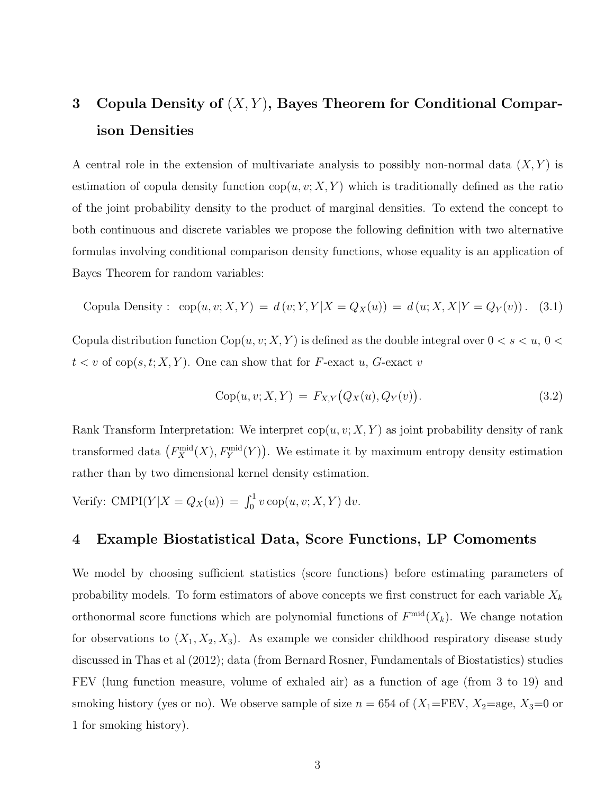## 3 Copula Density of  $(X, Y)$ , Bayes Theorem for Conditional Comparison Densities

A central role in the extension of multivariate analysis to possibly non-normal data  $(X, Y)$  is estimation of copula density function  $\text{cop}(u, v; X, Y)$  which is traditionally defined as the ratio of the joint probability density to the product of marginal densities. To extend the concept to both continuous and discrete variables we propose the following definition with two alternative formulas involving conditional comparison density functions, whose equality is an application of Bayes Theorem for random variables:

Copula Density: 
$$
cop(u, v; X, Y) = d(v; Y, Y | X = Q_X(u)) = d(u; X, X | Y = Q_Y(v))
$$
. (3.1)

Copula distribution function  $\text{Cop}(u, v; X, Y)$  is defined as the double integral over  $0 < s < u, 0 <$  $t < v$  of cop(s, t; X, Y). One can show that for F-exact u, G-exact v

$$
Cop(u, v; X, Y) = F_{X,Y}(Q_X(u), Q_Y(v)).
$$
\n(3.2)

Rank Transform Interpretation: We interpret  $\text{cop}(u, v; X, Y)$  as joint probability density of rank transformed data  $(F_X^{\text{mid}}(X), F_Y^{\text{mid}}(Y))$ . We estimate it by maximum entropy density estimation rather than by two dimensional kernel density estimation.

Verify: CMPI( $Y|X = Q_X(u)$ ) =  $\int_0^1 v \operatorname{cop}(u, v; X, Y) dv$ .

#### 4 Example Biostatistical Data, Score Functions, LP Comoments

We model by choosing sufficient statistics (score functions) before estimating parameters of probability models. To form estimators of above concepts we first construct for each variable  $X_k$ orthonormal score functions which are polynomial functions of  $F^{\text{mid}}(X_k)$ . We change notation for observations to  $(X_1, X_2, X_3)$ . As example we consider childhood respiratory disease study discussed in Thas et al (2012); data (from Bernard Rosner, Fundamentals of Biostatistics) studies FEV (lung function measure, volume of exhaled air) as a function of age (from 3 to 19) and smoking history (yes or no). We observe sample of size  $n = 654$  of  $(X_1 = FEV, X_2 = age, X_3 = 0$  or 1 for smoking history).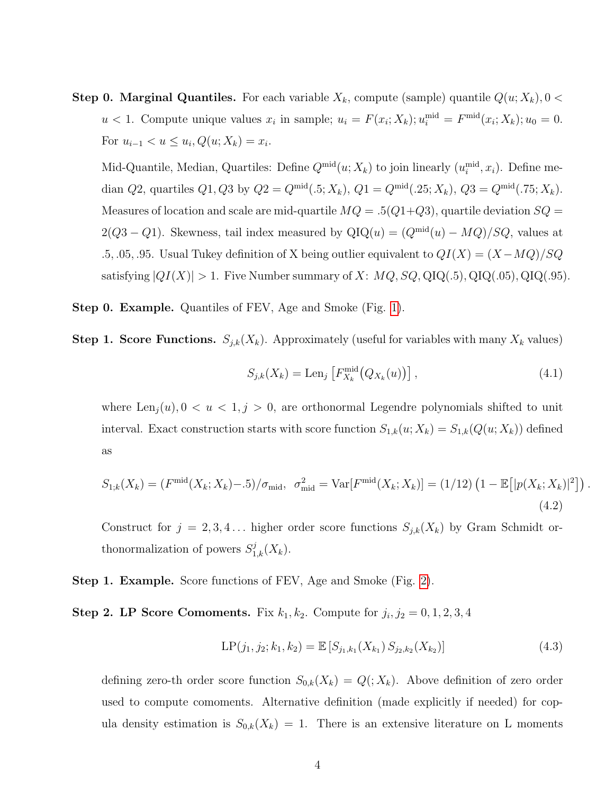**Step 0. Marginal Quantiles.** For each variable  $X_k$ , compute (sample) quantile  $Q(u; X_k)$ ,  $0 <$  $u < 1$ . Compute unique values  $x_i$  in sample;  $u_i = F(x_i; X_k); u_i^{\text{mid}} = F^{\text{mid}}(x_i; X_k); u_0 = 0$ . For  $u_{i-1} < u \leq u_i, Q(u; X_k) = x_i$ .

Mid-Quantile, Median, Quartiles: Define  $Q^{\text{mid}}(u; X_k)$  to join linearly  $(u_i^{\text{mid}}, x_i)$ . Define median  $Q2$ , quartiles  $Q1, Q3$  by  $Q2 = Q^{\text{mid}}(.5; X_k), Q1 = Q^{\text{mid}}(.25; X_k), Q3 = Q^{\text{mid}}(.75; X_k).$ Measures of location and scale are mid-quartile  $MQ = .5(Q1+Q3)$ , quartile deviation  $SQ =$ 2( $Q3 - Q1$ ). Skewness, tail index measured by  $QIQ(u) = (Q^{\text{mid}}(u) - MQ)/SQ$ , values at .5, .05, .95. Usual Tukey definition of X being outlier equivalent to  $QI(X) = (X - MQ)/SQ$ satisfying  $|QI(X)| > 1$ . Five Number summary of X:  $MQ$ ,  $SQ$ ,  $QIQ(.5)$ ,  $QIQ(.05)$ ,  $QIQ(.95)$ .

Step 0. Example. Quantiles of FEV, Age and Smoke (Fig. [1\)](#page-7-0).

**Step 1. Score Functions.**  $S_{j,k}(X_k)$ . Approximately (useful for variables with many  $X_k$  values)

$$
S_{j,k}(X_k) = \text{Len}_j \left[ F_{X_k}^{\text{mid}}(Q_{X_k}(u)) \right], \tag{4.1}
$$

where  $\text{Len}_{j}(u)$ ,  $0 < u < 1, j > 0$ , are orthonormal Legendre polynomials shifted to unit interval. Exact construction starts with score function  $S_{1,k}(u; X_k) = S_{1,k}(Q(u; X_k))$  defined as

$$
S_{1,k}(X_k) = (F^{\text{mid}}(X_k; X_k) - 0.5) / \sigma_{\text{mid}}, \ \sigma_{\text{mid}}^2 = \text{Var}[F^{\text{mid}}(X_k; X_k)] = (1/12) \left(1 - \mathbb{E}\big[|p(X_k; X_k)|^2\big]\right).
$$
\n(4.2)

Construct for  $j = 2, 3, 4...$  higher order score functions  $S_{j,k}(X_k)$  by Gram Schmidt orthonormalization of powers  $S_{1,k}^j(X_k)$ .

Step 1. Example. Score functions of FEV, Age and Smoke (Fig. [2\)](#page-8-0).

**Step 2. LP Score Comoments.** Fix  $k_1, k_2$ . Compute for  $j_i, j_2 = 0, 1, 2, 3, 4$ 

$$
LP(j_1, j_2; k_1, k_2) = \mathbb{E}\left[S_{j_1, k_1}(X_{k_1}) S_{j_2, k_2}(X_{k_2})\right]
$$
\n(4.3)

defining zero-th order score function  $S_{0,k}(X_k) = Q(X_k)$ . Above definition of zero order used to compute comoments. Alternative definition (made explicitly if needed) for copula density estimation is  $S_{0,k}(X_k) = 1$ . There is an extensive literature on L moments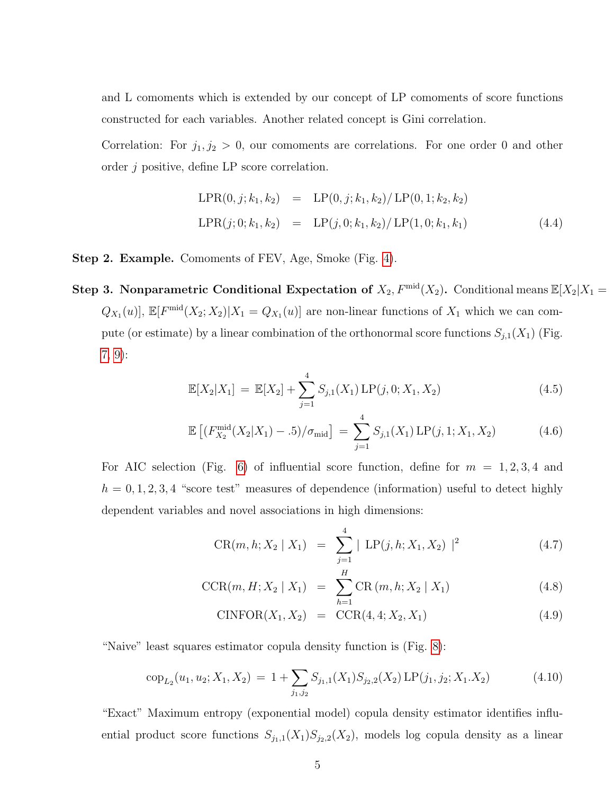and L comoments which is extended by our concept of LP comoments of score functions constructed for each variables. Another related concept is Gini correlation.

Correlation: For  $j_1, j_2 > 0$ , our comoments are correlations. For one order 0 and other order j positive, define LP score correlation.

$$
LPR(0, j; k_1, k_2) = LP(0, j; k_1, k_2) / LP(0, 1; k_2, k_2)
$$
  
\n
$$
LPR(j; 0; k_1, k_2) = LP(j, 0; k_1, k_2) / LP(1, 0; k_1, k_1)
$$
\n(4.4)

Step 2. Example. Comoments of FEV, Age, Smoke (Fig. [4\)](#page-10-0).

Step 3. Nonparametric Conditional Expectation of  $X_2$ ,  $F^{\text{mid}}(X_2)$ . Conditional means  $\mathbb{E}[X_2|X_1 =$  $Q_{X_1}(u)$ ,  $\mathbb{E}[F^{\text{mid}}(X_2; X_2)|X_1 = Q_{X_1}(u)]$  are non-linear functions of  $X_1$  which we can compute (or estimate) by a linear combination of the orthonormal score functions  $S_{j,1}(X_1)$  (Fig. [7,](#page-13-0) [9\)](#page-15-0):

$$
\mathbb{E}[X_2|X_1] = \mathbb{E}[X_2] + \sum_{j=1}^4 S_{j,1}(X_1) \mathbb{L}P(j,0;X_1,X_2)
$$
\n(4.5)

$$
\mathbb{E}\left[ (F_{X_2}^{\text{mid}}(X_2|X_1) - .5) / \sigma_{\text{mid}} \right] = \sum_{j=1}^4 S_{j,1}(X_1) \, \text{LP}(j, 1; X_1, X_2) \tag{4.6}
$$

For AIC selection (Fig. [6\)](#page-12-0) of influential score function, define for  $m = 1, 2, 3, 4$  and  $h = 0, 1, 2, 3, 4$  "score test" measures of dependence (information) useful to detect highly dependent variables and novel associations in high dimensions:

$$
CR(m, h; X_2 | X_1) = \sum_{j=1}^4 |LP(j, h; X_1, X_2)|^2
$$
 (4.7)

$$
CCR(m, H; X_2 \mid X_1) = \sum_{h=1}^{H} CR(m, h; X_2 \mid X_1)
$$
\n(4.8)

CINFOR
$$
(X_1, X_2)
$$
 = CCR $(4, 4; X_2, X_1)$  (4.9)

"Naive" least squares estimator copula density function is (Fig. [8\)](#page-14-0):

$$
cop_{L_2}(u_1, u_2; X_1, X_2) = 1 + \sum_{j_1, j_2} S_{j_1, 1}(X_1) S_{j_2, 2}(X_2) \text{LP}(j_1, j_2; X_1, X_2)
$$
(4.10)

"Exact" Maximum entropy (exponential model) copula density estimator identifies influential product score functions  $S_{j_1,1}(X_1)S_{j_2,2}(X_2)$ , models log copula density as a linear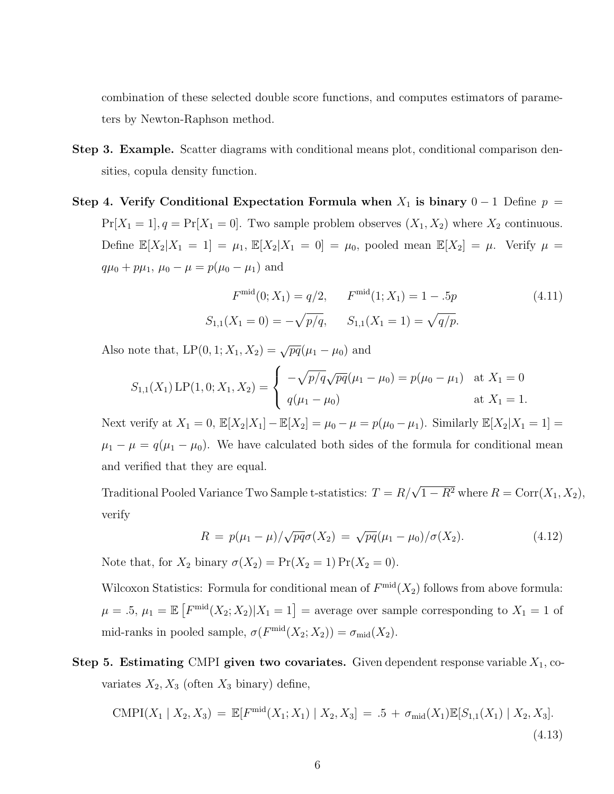combination of these selected double score functions, and computes estimators of parameters by Newton-Raphson method.

- Step 3. Example. Scatter diagrams with conditional means plot, conditional comparison densities, copula density function.
- Step 4. Verify Conditional Expectation Formula when  $X_1$  is binary  $0-1$  Define  $p =$  $Pr[X_1 = 1], q = Pr[X_1 = 0]$ . Two sample problem observes  $(X_1, X_2)$  where  $X_2$  continuous. Define  $\mathbb{E}[X_2|X_1 = 1] = \mu_1, \, \mathbb{E}[X_2|X_1 = 0] = \mu_0$ , pooled mean  $\mathbb{E}[X_2] = \mu$ . Verify  $\mu =$  $q\mu_0 + p\mu_1$ ,  $\mu_0 - \mu = p(\mu_0 - \mu_1)$  and

$$
F^{\text{mid}}(0; X_1) = q/2, \qquad F^{\text{mid}}(1; X_1) = 1 - .5p \tag{4.11}
$$
  

$$
S_{1,1}(X_1 = 0) = -\sqrt{p/q}, \qquad S_{1,1}(X_1 = 1) = \sqrt{q/p}.
$$

Also note that,  $LP(0, 1; X_1, X_2) = \sqrt{pq}(\mu_1 - \mu_0)$  and

$$
S_{1,1}(X_1) \text{LP}(1,0;X_1,X_2) = \begin{cases} -\sqrt{p/q} \sqrt{pq}(\mu_1 - \mu_0) = p(\mu_0 - \mu_1) & \text{at } X_1 = 0\\ q(\mu_1 - \mu_0) & \text{at } X_1 = 1. \end{cases}
$$

Next verify at  $X_1 = 0$ ,  $\mathbb{E}[X_2|X_1] - \mathbb{E}[X_2] = \mu_0 - \mu = p(\mu_0 - \mu_1)$ . Similarly  $\mathbb{E}[X_2|X_1 = 1] =$  $\mu_1 - \mu = q(\mu_1 - \mu_0)$ . We have calculated both sides of the formula for conditional mean and verified that they are equal.

Traditional Pooled Variance Two Sample t-statistics:  $T = R/\sqrt{1 - R^2}$  where  $R = \text{Corr}(X_1, X_2)$ , verify

$$
R = p(\mu_1 - \mu) / \sqrt{pq} \sigma(X_2) = \sqrt{pq} (\mu_1 - \mu_0) / \sigma(X_2).
$$
 (4.12)

Note that, for  $X_2$  binary  $\sigma(X_2) = \Pr(X_2 = 1) \Pr(X_2 = 0)$ .

Wilcoxon Statistics: Formula for conditional mean of  $F^{\text{mid}}(X_2)$  follows from above formula:  $\mu = .5, \mu_1 = \mathbb{E} \left[ F^{\text{mid}}(X_2; X_2) | X_1 = 1 \right] = \text{average over sample corresponding to } X_1 = 1 \text{ of } X_2$ mid-ranks in pooled sample,  $\sigma(F^{\text{mid}}(X_2; X_2)) = \sigma_{\text{mid}}(X_2)$ .

Step 5. Estimating CMPI given two covariates. Given dependent response variable  $X_1$ , covariates  $X_2, X_3$  (often  $X_3$  binary) define,

$$
\text{CMPI}(X_1 \mid X_2, X_3) = \mathbb{E}[F^{\text{mid}}(X_1; X_1) \mid X_2, X_3] = .5 + \sigma_{\text{mid}}(X_1)\mathbb{E}[S_{1,1}(X_1) \mid X_2, X_3].
$$
\n(4.13)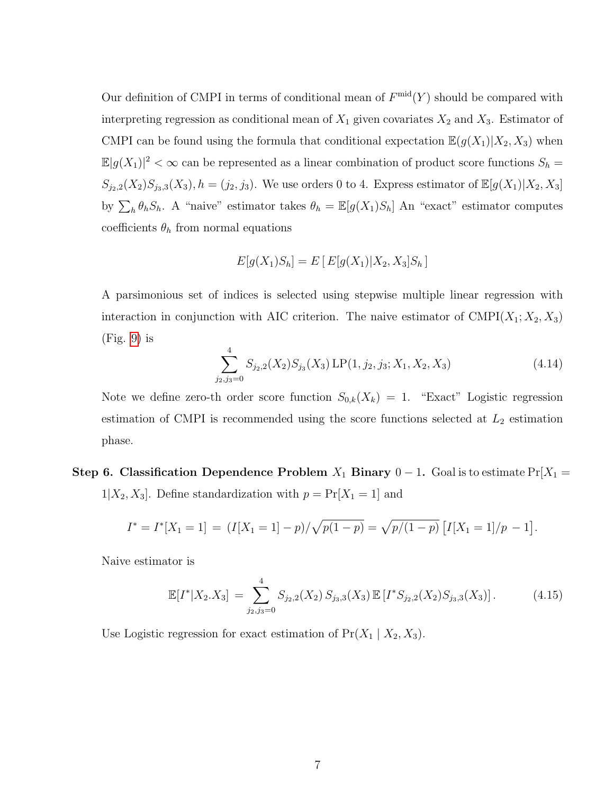Our definition of CMPI in terms of conditional mean of  $F^{\text{mid}}(Y)$  should be compared with interpreting regression as conditional mean of  $X_1$  given covariates  $X_2$  and  $X_3$ . Estimator of CMPI can be found using the formula that conditional expectation  $\mathbb{E}(g(X_1)|X_2, X_3)$  when  $\mathbb{E}|g(X_1)|^2 < \infty$  can be represented as a linear combination of product score functions  $S_h =$  $S_{j_2,2}(X_2)S_{j_3,3}(X_3), h = (j_2, j_3)$ . We use orders 0 to 4. Express estimator of  $\mathbb{E}[g(X_1)|X_2, X_3]$ by  $\sum_{h} \theta_h S_h$ . A "naive" estimator takes  $\theta_h = \mathbb{E}[g(X_1)S_h]$  An "exact" estimator computes coefficients  $\theta_h$  from normal equations

$$
E[g(X_1)S_h] = E[E[g(X_1)|X_2, X_3]S_h]
$$

A parsimonious set of indices is selected using stepwise multiple linear regression with interaction in conjunction with AIC criterion. The naive estimator of  $\text{CMPI}(X_1; X_2, X_3)$  $(Fig. 9)$  $(Fig. 9)$  is

$$
\sum_{j_2,j_3=0}^{4} S_{j_2,2}(X_2) S_{j_3}(X_3) \, \text{LP}(1,j_2,j_3;X_1,X_2,X_3) \tag{4.14}
$$

Note we define zero-th order score function  $S_{0,k}(X_k) = 1$ . "Exact" Logistic regression estimation of CMPI is recommended using the score functions selected at  $L_2$  estimation phase.

Step 6. Classification Dependence Problem  $X_1$  Binary  $0 - 1$ . Goal is to estimate Pr[ $X_1$  =  $1|X_2, X_3|$ . Define standardization with  $p = Pr[X_1 = 1]$  and

$$
I^* = I^*[X_1 = 1] = (I[X_1 = 1] - p)/\sqrt{p(1-p)} = \sqrt{p/(1-p)} [I[X_1 = 1]/p - 1].
$$

Naive estimator is

$$
\mathbb{E}[I^*|X_2.X_3] = \sum_{j_2,j_3=0}^{4} S_{j_2,2}(X_2) S_{j_3,3}(X_3) \mathbb{E}[I^*S_{j_2,2}(X_2) S_{j_3,3}(X_3)]. \tag{4.15}
$$

Use Logistic regression for exact estimation of  $Pr(X_1 | X_2, X_3)$ .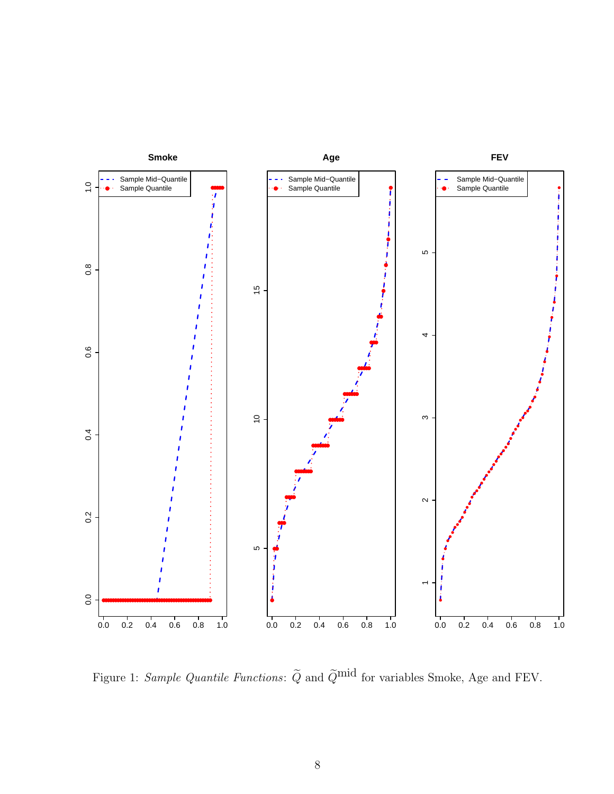

<span id="page-7-0"></span>Figure 1: Sample Quantile Functions:  $\tilde{Q}$  and  $\tilde{Q}^{\text{mid}}$  for variables Smoke, Age and FEV.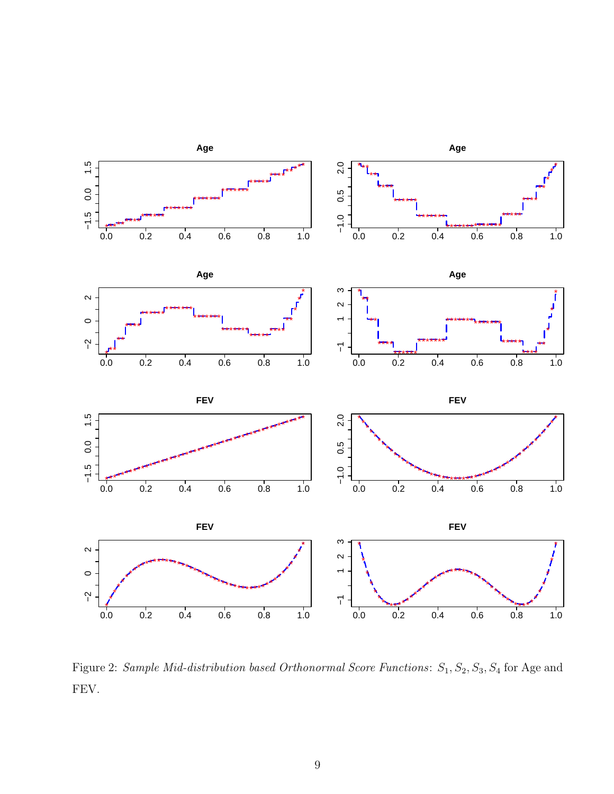

<span id="page-8-0"></span>Figure 2: Sample Mid-distribution based Orthonormal Score Functions:  $S_1$ ,  $S_2$ ,  $S_3$ ,  $S_4$  for Age and FEV.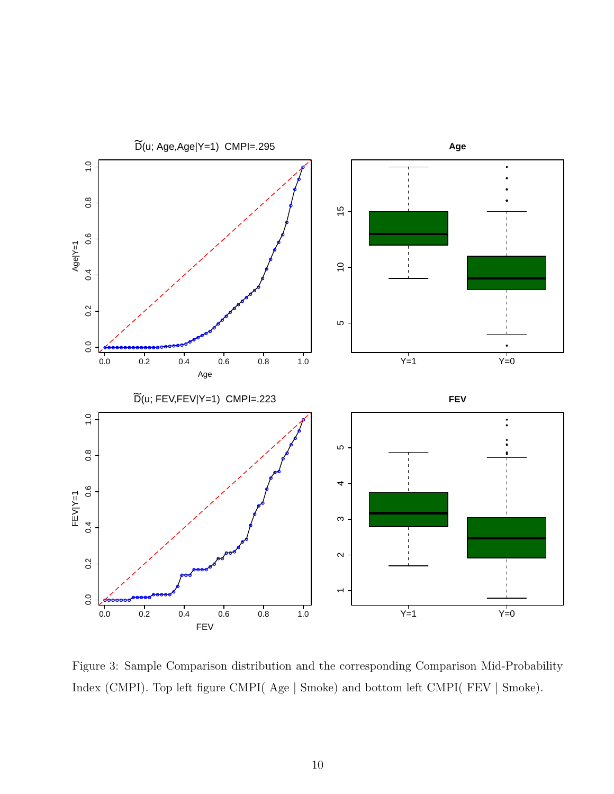

<span id="page-9-0"></span>Figure 3: Sample Comparison distribution and the corresponding Comparison Mid-Probability Index (CMPI). Top left figure CMPI( Age | Smoke) and bottom left CMPI( FEV | Smoke).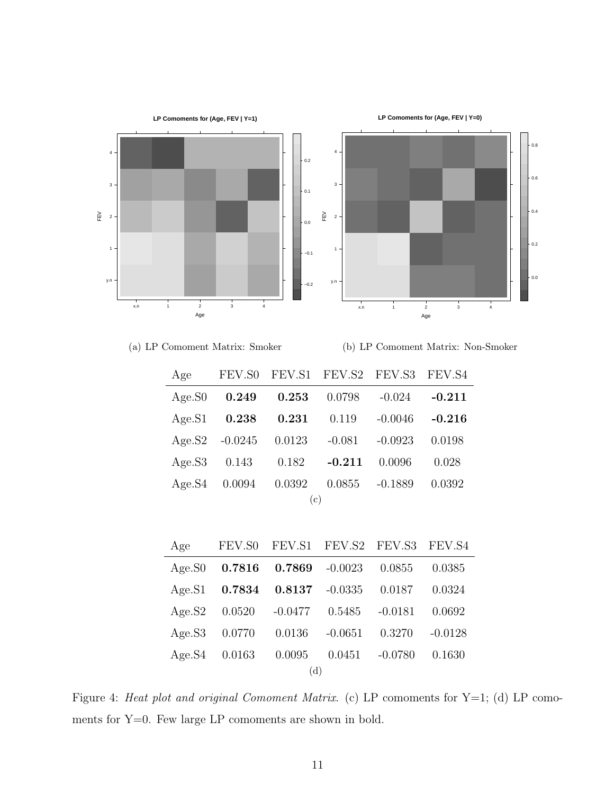

(a) LP Comoment Matrix: Smoker

(b) LP Comoment Matrix: Non-Smoker

| Age       |                   |                 | FEV.S0 FEV.S1 FEV.S2 FEV.S3 FEV.S4 |                   |          |
|-----------|-------------------|-----------------|------------------------------------|-------------------|----------|
| Age.S0    |                   | $0.249$ $0.253$ | 0.0798                             | $-0.024$          | $-0.211$ |
| Age.S1    | $\,0.238\,$       | $\, 0.231 \,$   | 0.119                              | $-0.0046$         | $-0.216$ |
|           | Age. $S2 -0.0245$ | 0.0123          | $-0.081$                           | $-0.0923$         | 0.0198   |
| Age.S3    | 0.143             | 0.182           | $-0.211$                           | 0.0096            | 0.028    |
| Age.S4    | $0.0094$ $0.0392$ |                 |                                    | $0.0855 - 0.1889$ | 0.0392   |
| $\rm (c)$ |                   |                 |                                    |                   |          |

| Age |                              | FEV.S0 FEV.S1 FEV.S2 FEV.S3 FEV.S4 |           |           |           |
|-----|------------------------------|------------------------------------|-----------|-----------|-----------|
|     | Age.S0 $0.7816$              | $0.7869$ $-0.0023$                 |           | 0.0855    | 0.0385    |
|     | Age.S1 0.7834 0.8137 -0.0335 |                                    |           | 0.0187    | 0.0324    |
|     | $Age.S2 \t0.0520$            | $-0.0477$ $0.5485$ $-0.0181$       |           |           | 0.0692    |
|     | Age.S3 0.0770                | 0.0136                             | $-0.0651$ | 0.3270    | $-0.0128$ |
|     | $Age.S4 \quad 0.0163$        | 0.0095                             | 0.0451    | $-0.0780$ | 0.1630    |
| (d) |                              |                                    |           |           |           |

<span id="page-10-0"></span>Figure 4: Heat plot and original Comoment Matrix. (c) LP comoments for Y=1; (d) LP comoments for Y=0. Few large LP comoments are shown in bold.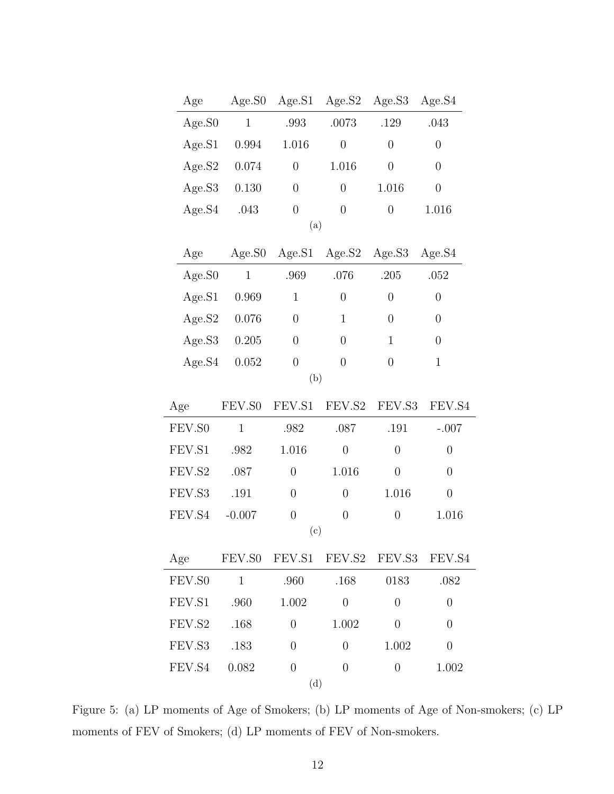| Age    | Age.SO       | Age.S1         | Age.S2           | Age.S3           | Age.S4           |  |
|--------|--------------|----------------|------------------|------------------|------------------|--|
| Age.S0 | $\mathbf{1}$ | .993           | .0073            | .129             | .043             |  |
| Age.S1 | 0.994        | 1.016          | $\overline{0}$   | $\boldsymbol{0}$ | $\overline{0}$   |  |
| Age.S2 | 0.074        | $\overline{0}$ | 1.016            | $\boldsymbol{0}$ | $\overline{0}$   |  |
| Age.S3 | 0.130        | $\overline{0}$ | $\overline{0}$   | $1.016\,$        | $\overline{0}$   |  |
| Age.S4 | .043         | $\overline{0}$ | $\overline{0}$   | $\overline{0}$   | 1.016            |  |
| (a)    |              |                |                  |                  |                  |  |
| Age    | Age.S0       | Age.S1         | Age.S2           | Age.S3           | Age.S4           |  |
| Age.S0 | $\mathbf{1}$ | .969           | .076             | .205             | .052             |  |
| Age.S1 | 0.969        | $\mathbf{1}$   | $\overline{0}$   | $\overline{0}$   | $\overline{0}$   |  |
| Age.S2 | 0.076        | $\overline{0}$ | 1                | $\boldsymbol{0}$ | $\overline{0}$   |  |
| Age.S3 | $0.205\,$    | $\overline{0}$ | $\overline{0}$   | $\mathbf{1}$     | $\boldsymbol{0}$ |  |
| Age.S4 | 0.052        | $\overline{0}$ | $\overline{0}$   | $\boldsymbol{0}$ | $\mathbf{1}$     |  |
|        |              | (b)            |                  |                  |                  |  |
| Age    | FEV.S0       | FEV.S1         | FEV.S2           | FEV.S3           | FEV.S4           |  |
| FEV.S0 | $\mathbf{1}$ | .982           | .087             | .191             | $-.007$          |  |
| FEV.S1 | .982         | 1.016          | $\overline{0}$   | $\overline{0}$   | $\boldsymbol{0}$ |  |
| FEV.S2 | .087         | $\overline{0}$ | 1.016            | $\overline{0}$   | $\overline{0}$   |  |
|        |              |                |                  |                  |                  |  |
| FEV.S3 | .191         | $\overline{0}$ | $\overline{0}$   | 1.016            | $\boldsymbol{0}$ |  |
| FEV.S4 | $-0.007$     | $\overline{0}$ | $\boldsymbol{0}$ | $\boldsymbol{0}$ | 1.016            |  |
|        |              | (c)            |                  |                  |                  |  |
| Age    | FEV.SO       | FEV.S1         | FEV.S2           | FEV.S3           | FEV.S4           |  |
| FEV.SO | $\mathbf{1}$ | .960           | .168             | 0183             | .082             |  |
| FEV.S1 | .960         | 1.002          | $\overline{0}$   | $\overline{0}$   | $\overline{0}$   |  |
| FEV.S2 | .168         | $\overline{0}$ | 1.002            | $\overline{0}$   | $\overline{0}$   |  |
| FEV.S3 | .183         | $\overline{0}$ | $\overline{0}$   | 1.002            | $\boldsymbol{0}$ |  |
| FEV.S4 | 0.082        | $\overline{0}$ | $\overline{0}$   | $\overline{0}$   | 1.002            |  |

Figure 5: (a) LP moments of Age of Smokers; (b) LP moments of Age of Non-smokers; (c) LP moments of FEV of Smokers; (d) LP moments of FEV of Non-smokers.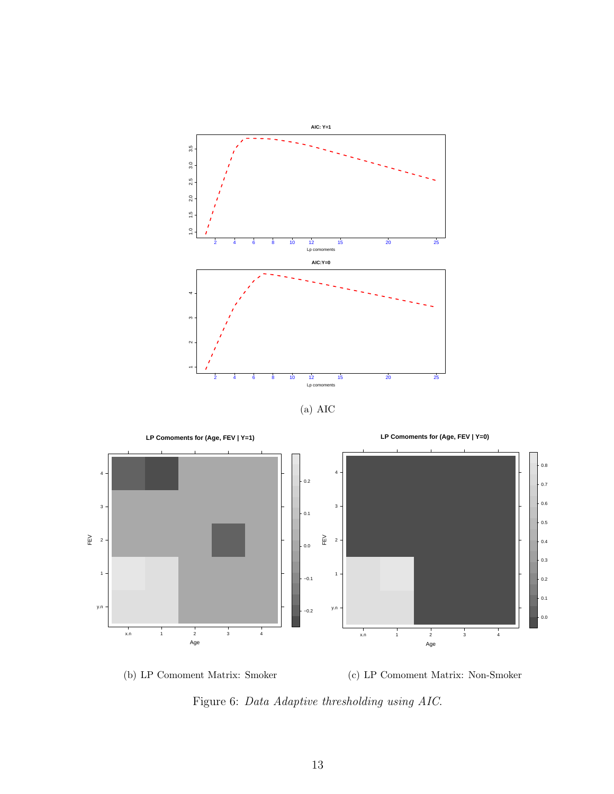







<span id="page-12-0"></span>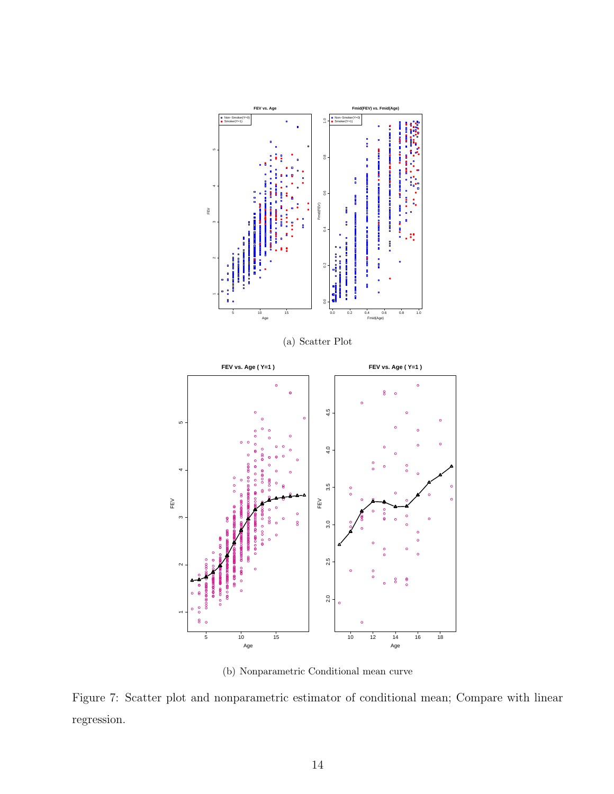

(b) Nonparametric Conditional mean curve

<span id="page-13-0"></span>Figure 7: Scatter plot and nonparametric estimator of conditional mean; Compare with linear regression.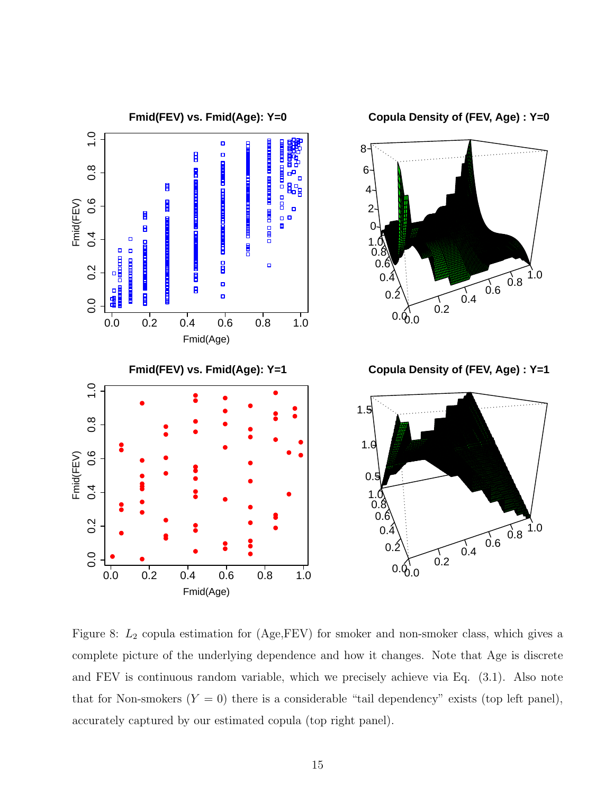

<span id="page-14-0"></span>Figure 8:  $L_2$  copula estimation for (Age, FEV) for smoker and non-smoker class, which gives a complete picture of the underlying dependence and how it changes. Note that Age is discrete and FEV is continuous random variable, which we precisely achieve via Eq. (3.1). Also note that for Non-smokers  $(Y = 0)$  there is a considerable "tail dependency" exists (top left panel), accurately captured by our estimated copula (top right panel).